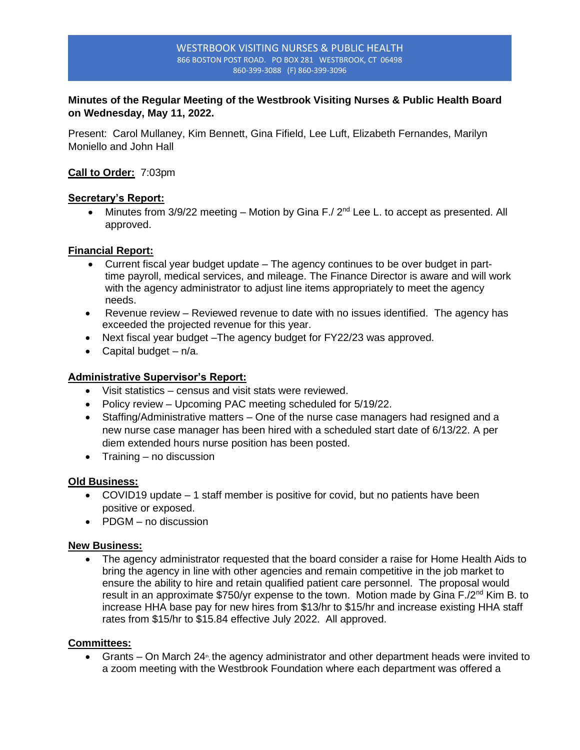#### WESTRBOOK VISITING NURSES & PUBLIC HEALTH 866 BOSTON POST ROAD. PO BOX 281 WESTBROOK, CT 06498 860-399-3088 (F) 860-399-3096

# **Minutes of the Regular Meeting of the Westbrook Visiting Nurses & Public Health Board on Wednesday, May 11, 2022.**

Present: Carol Mullaney, Kim Bennett, Gina Fifield, Lee Luft, Elizabeth Fernandes, Marilyn Moniello and John Hall

### **Call to Order:** 7:03pm

### **Secretary's Report:**

• Minutes from  $3/9/22$  meeting – Motion by Gina F./  $2<sup>nd</sup>$  Lee L. to accept as presented. All approved.

### **Financial Report:**

- Current fiscal year budget update The agency continues to be over budget in parttime payroll, medical services, and mileage. The Finance Director is aware and will work with the agency administrator to adjust line items appropriately to meet the agency needs.
- Revenue review Reviewed revenue to date with no issues identified. The agency has exceeded the projected revenue for this year.
- Next fiscal year budget The agency budget for FY22/23 was approved.
- Capital budget  $n/a$ .

# **Administrative Supervisor's Report:**

- Visit statistics census and visit stats were reviewed.
- Policy review Upcoming PAC meeting scheduled for 5/19/22.
- Staffing/Administrative matters One of the nurse case managers had resigned and a new nurse case manager has been hired with a scheduled start date of 6/13/22. A per diem extended hours nurse position has been posted.
- Training no discussion

### **Old Business:**

- COVID19 update 1 staff member is positive for covid, but no patients have been positive or exposed.
- PDGM no discussion

### **New Business:**

• The agency administrator requested that the board consider a raise for Home Health Aids to bring the agency in line with other agencies and remain competitive in the job market to ensure the ability to hire and retain qualified patient care personnel. The proposal would result in an approximate \$750/yr expense to the town. Motion made by Gina F./2<sup>nd</sup> Kim B. to increase HHA base pay for new hires from \$13/hr to \$15/hr and increase existing HHA staff rates from \$15/hr to \$15.84 effective July 2022. All approved.

### **Committees:**

• Grants  $-$  On March 24<sup>th</sup>, the agency administrator and other department heads were invited to a zoom meeting with the Westbrook Foundation where each department was offered a